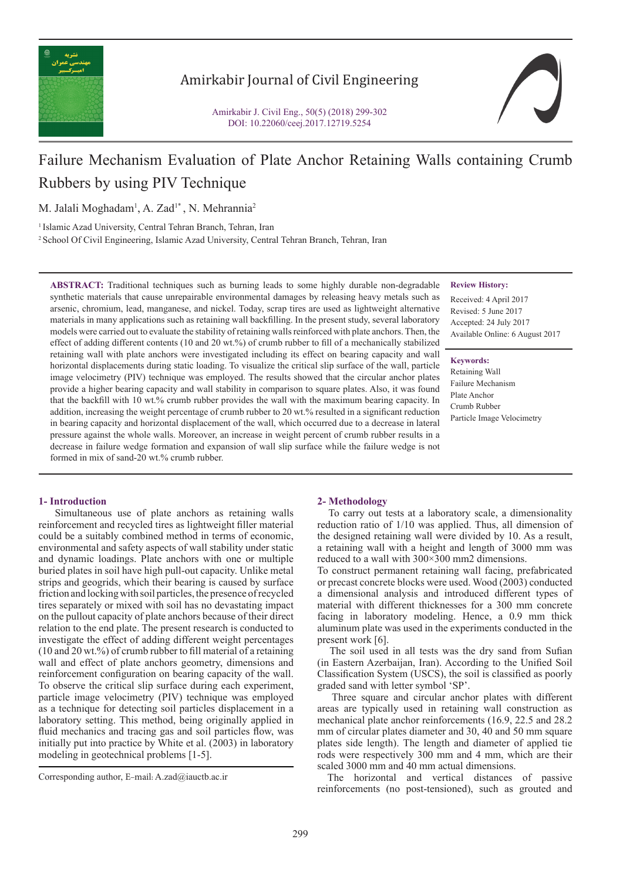

# Amirkabir Journal of Civil Engineering



# Failure Mechanism Evaluation of Plate Anchor Retaining Walls containing Crumb Rubbers by using PIV Technique

M. Jalali Moghadam<sup>1</sup>, A. Zad<sup>1\*</sup>, N. Mehrannia<sup>2</sup>

<sup>1</sup> Islamic Azad University, Central Tehran Branch, Tehran, Iran

2 School Of Civil Engineering, Islamic Azad University, Central Tehran Branch, Tehran, Iran

**ABSTRACT:** Traditional techniques such as burning leads to some highly durable non-degradable synthetic materials that cause unrepairable environmental damages by releasing heavy metals such as arsenic, chromium, lead, manganese, and nickel. Today, scrap tires are used as lightweight alternative materials in many applications such as retaining wall backfilling. In the present study, several laboratory models were carried out to evaluate the stability of retaining walls reinforced with plate anchors. Then, the effect of adding different contents (10 and 20 wt.%) of crumb rubber to fill of a mechanically stabilized retaining wall with plate anchors were investigated including its effect on bearing capacity and wall horizontal displacements during static loading. To visualize the critical slip surface of the wall, particle image velocimetry (PIV) technique was employed. The results showed that the circular anchor plates provide a higher bearing capacity and wall stability in comparison to square plates. Also, it was found that the backfill with 10 wt.% crumb rubber provides the wall with the maximum bearing capacity. In addition, increasing the weight percentage of crumb rubber to 20 wt.% resulted in a significant reduction in bearing capacity and horizontal displacement of the wall, which occurred due to a decrease in lateral pressure against the whole walls. Moreover, an increase in weight percent of crumb rubber results in a decrease in failure wedge formation and expansion of wall slip surface while the failure wedge is not formed in mix of sand-20 wt.% crumb rubber.

# **Review History:**

Received: 4 April 2017 Revised: 5 June 2017 Accepted: 24 July 2017 Available Online: 6 August 2017

### **Keywords:**

Retaining Wall Failure Mechanism Plate Anchor Crumb Rubber Particle Image Velocimetry

# **1- Introduction**

 Simultaneous use of plate anchors as retaining walls reinforcement and recycled tires as lightweight filler material could be a suitably combined method in terms of economic, environmental and safety aspects of wall stability under static and dynamic loadings. Plate anchors with one or multiple buried plates in soil have high pull-out capacity. Unlike metal strips and geogrids, which their bearing is caused by surface friction and locking with soil particles, the presence of recycled tires separately or mixed with soil has no devastating impact on the pullout capacity of plate anchors because of their direct relation to the end plate. The present research is conducted to investigate the effect of adding different weight percentages (10 and 20 wt.%) of crumb rubber to fill material of a retaining wall and effect of plate anchors geometry, dimensions and reinforcement configuration on bearing capacity of the wall. To observe the critical slip surface during each experiment, particle image velocimetry (PIV) technique was employed as a technique for detecting soil particles displacement in a laboratory setting. This method, being originally applied in fluid mechanics and tracing gas and soil particles flow, was initially put into practice by White et al. (2003) in laboratory modeling in geotechnical problems [1-5].

### **2- Methodology**

 To carry out tests at a laboratory scale, a dimensionality reduction ratio of 1/10 was applied. Thus, all dimension of the designed retaining wall were divided by 10. As a result, a retaining wall with a height and length of 3000 mm was reduced to a wall with 300×300 mm2 dimensions.

To construct permanent retaining wall facing, prefabricated or precast concrete blocks were used. Wood (2003) conducted a dimensional analysis and introduced different types of material with different thicknesses for a 300 mm concrete facing in laboratory modeling. Hence, a 0.9 mm thick aluminum plate was used in the experiments conducted in the present work [6].

 The soil used in all tests was the dry sand from Sufian (in Eastern Azerbaijan, Iran). According to the Unified Soil Classification System (USCS), the soil is classified as poorly graded sand with letter symbol 'SP'.

 Three square and circular anchor plates with different areas are typically used in retaining wall construction as mechanical plate anchor reinforcements (16.9, 22.5 and 28.2 mm of circular plates diameter and 30, 40 and 50 mm square plates side length). The length and diameter of applied tie rods were respectively 300 mm and 4 mm, which are their scaled 3000 mm and 40 mm actual dimensions.

 The horizontal and vertical distances of passive reinforcements (no post-tensioned), such as grouted and

Corresponding author, E-mail: A.zad@iauctb.ac.ir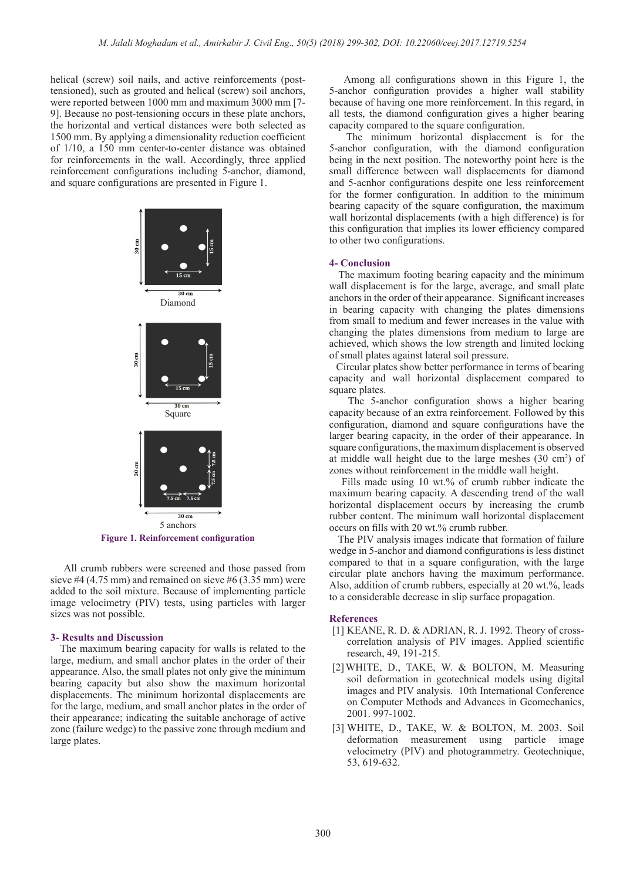helical (screw) soil nails, and active reinforcements (posttensioned), such as grouted and helical (screw) soil anchors, were reported between 1000 mm and maximum 3000 mm [7- 9]. Because no post-tensioning occurs in these plate anchors, the horizontal and vertical distances were both selected as 1500 mm. By applying a dimensionality reduction coefficient of 1/10, a 150 mm center-to-center distance was obtained for reinforcements in the wall. Accordingly, three applied reinforcement configurations including 5-anchor, diamond, and square configurations are presented in Figure 1.



**Figure 1. Reinforcement configuration**

 All crumb rubbers were screened and those passed from sieve #4 (4.75 mm) and remained on sieve #6 (3.35 mm) were added to the soil mixture. Because of implementing particle image velocimetry (PIV) tests, using particles with larger sizes was not possible.

## **3- Results and Discussion**

 The maximum bearing capacity for walls is related to the large, medium, and small anchor plates in the order of their appearance. Also, the small plates not only give the minimum bearing capacity but also show the maximum horizontal displacements. The minimum horizontal displacements are for the large, medium, and small anchor plates in the order of their appearance; indicating the suitable anchorage of active zone (failure wedge) to the passive zone through medium and large plates.

 Among all configurations shown in this Figure 1, the 5-anchor configuration provides a higher wall stability because of having one more reinforcement. In this regard, in all tests, the diamond configuration gives a higher bearing capacity compared to the square configuration.

 The minimum horizontal displacement is for the 5-anchor configuration, with the diamond configuration being in the next position. The noteworthy point here is the small difference between wall displacements for diamond and 5-acnhor configurations despite one less reinforcement for the former configuration. In addition to the minimum bearing capacity of the square configuration, the maximum wall horizontal displacements (with a high difference) is for this configuration that implies its lower efficiency compared to other two configurations.

#### **4- Conclusion**

 The maximum footing bearing capacity and the minimum wall displacement is for the large, average, and small plate anchors in the order of their appearance. Significant increases in bearing capacity with changing the plates dimensions from small to medium and fewer increases in the value with changing the plates dimensions from medium to large are achieved, which shows the low strength and limited locking of small plates against lateral soil pressure.

 Circular plates show better performance in terms of bearing capacity and wall horizontal displacement compared to square plates.

 The 5-anchor configuration shows a higher bearing capacity because of an extra reinforcement. Followed by this configuration, diamond and square configurations have the larger bearing capacity, in the order of their appearance. In square configurations, the maximum displacement is observed at middle wall height due to the large meshes  $(30 \text{ cm}^2)$  of zones without reinforcement in the middle wall height.

 Fills made using 10 wt.% of crumb rubber indicate the maximum bearing capacity. A descending trend of the wall horizontal displacement occurs by increasing the crumb rubber content. The minimum wall horizontal displacement occurs on fills with 20 wt.% crumb rubber.

 The PIV analysis images indicate that formation of failure wedge in 5-anchor and diamond configurations is less distinct compared to that in a square configuration, with the large circular plate anchors having the maximum performance. Also, addition of crumb rubbers, especially at 20 wt.%, leads to a considerable decrease in slip surface propagation.

#### **References**

- [1] KEANE, R. D. & ADRIAN, R. J. 1992. Theory of crosscorrelation analysis of PIV images. Applied scientific research, 49, 191-215.
- [2]WHITE, D., TAKE, W. & BOLTON, M. Measuring soil deformation in geotechnical models using digital images and PIV analysis. 10th International Conference on Computer Methods and Advances in Geomechanics, 2001. 997-1002.
- [3] WHITE, D., TAKE, W. & BOLTON, M. 2003. Soil deformation measurement using particle image velocimetry (PIV) and photogrammetry. Geotechnique, 53, 619-632.